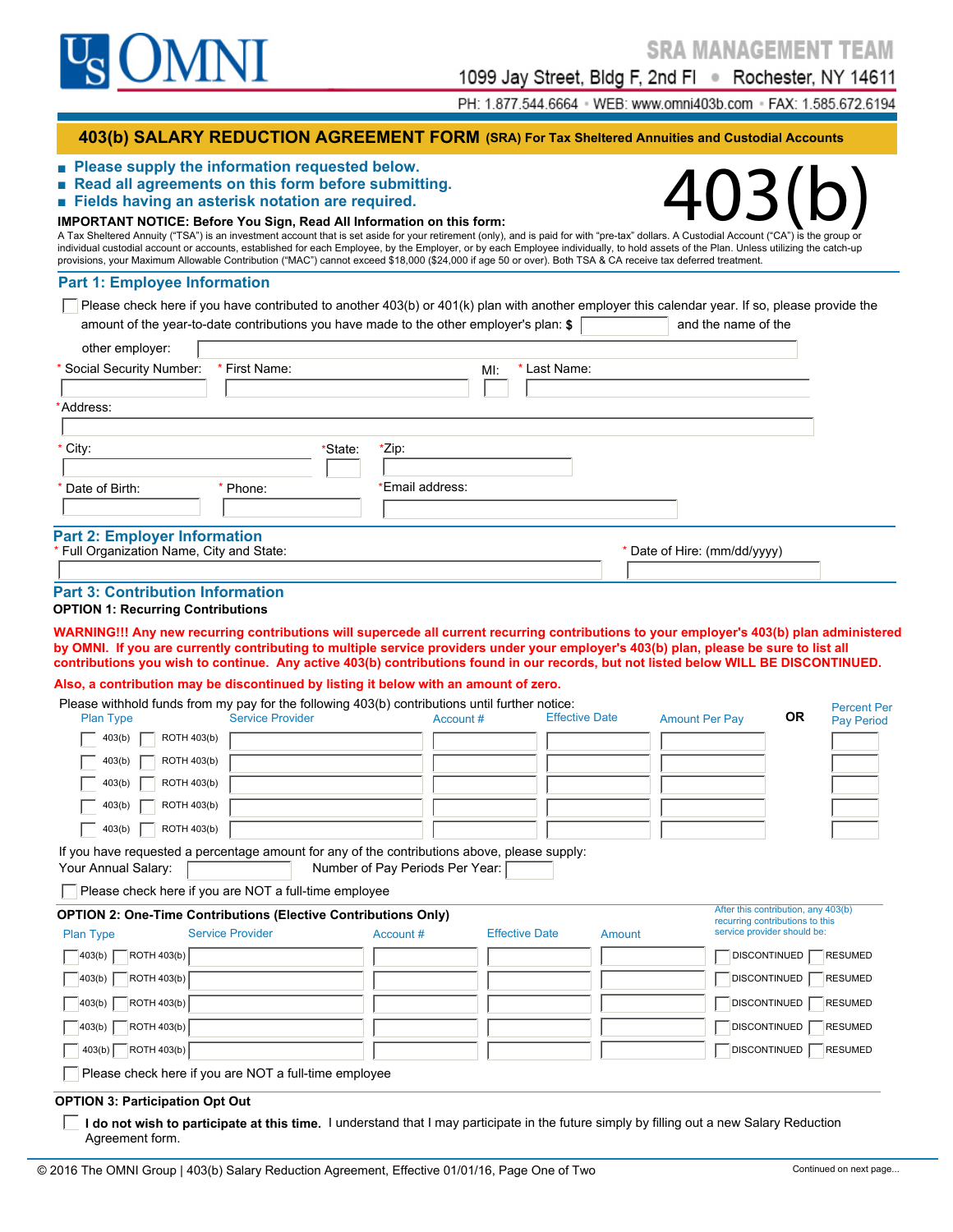

1099 Jay Street, Bldg F, 2nd Fl · Rochester, NY 14611

PH: 1.877.544.6664 · WEB: www.omni403b.com · FAX: 1.585.672.6194

## **403(b) SALARY REDUCTION AGREEMENT FORM (SRA) For Tax Sheltered Annuities and Custodial Accounts**

- **Read all agreements on this form before submitting.**
- **Fields having an asterisk notation are required.**

# ■ Please supply the information requested below.<br>■ Read all agreements on this form before submitting.<br>■ Fields having an asterisk notation are required.<br>IMPORTANT NOTICE: Before You Sign, Read All Information on this for **IMPORTANT NOTICE: Before You Sign, Read All Information on this form:**

A Tax Sheltered Annuity ("TSA") is an investment account that is set aside for your retirement (only), and is paid for with "pre-tax" dollars. A Custodial Account ("CA") is the group or individual custodial account or accounts, established for each Employee, by the Employer, or by each Employee individually, to hold assets of the Plan. Unless utilizing the catch-up provisions, your Maximum Allowable Contribution ("MAC") cannot exceed \$18,000 (\$24,000 if age 50 or over). Both TSA & CA receive tax deferred treatment.

#### **Part 1: Employee Information**

 $\Box$  Please check here if you have contributed to another 403(b) or 401(k) plan with another employer this calendar year. If so, please provide the amount of the year-to-date contributions you have made to the other employer's plan:  $\frac{1}{2}$  and the name of the

| other employer:                                                                     |               |                  |                     |                              |
|-------------------------------------------------------------------------------------|---------------|------------------|---------------------|------------------------------|
| * Social Security Number:                                                           | * First Name: |                  | * Last Name:<br>Ml: |                              |
| *Address:                                                                           |               |                  |                     |                              |
| * City:                                                                             |               | *Zip:<br>*State: |                     |                              |
| * Date of Birth:                                                                    | Phone:        | *Email address:  |                     |                              |
| <b>Part 2: Employer Information</b><br>Full Organization Name, City and State:      |               |                  |                     | * Date of Hire: (mm/dd/yyyy) |
|                                                                                     |               |                  |                     |                              |
| <b>Part 3: Contribution Information</b><br><b>OPTION 1: Recurring Contributions</b> |               |                  |                     |                              |
|                                                                                     |               |                  |                     |                              |

**WARNING!!! Any new recurring contributions will supercede all current recurring contributions to your employer's 403(b) plan administered by OMNI. If you are currently contributing to multiple service providers under your employer's 403(b) plan, please be sure to list all contributions you wish to continue. Any active 403(b) contributions found in our records, but not listed below WILL BE DISCONTINUED.**

#### **Also, a contribution may be discontinued by listing it below with an amount of zero.**

| <b>Plan Type</b>        | Please withhold funds from my pay for the following 403(b) contributions until further notice:<br><b>Service Provider</b> | Account #                       |                       | <b>Effective Date</b> | <b>Amount Per Pay</b> | <b>OR</b>                                                              | <b>Percent Per</b> |
|-------------------------|---------------------------------------------------------------------------------------------------------------------------|---------------------------------|-----------------------|-----------------------|-----------------------|------------------------------------------------------------------------|--------------------|
| ROTH 403(b)<br>403(b)   |                                                                                                                           |                                 |                       |                       |                       |                                                                        | <b>Pay Period</b>  |
|                         |                                                                                                                           |                                 |                       |                       |                       |                                                                        |                    |
| ROTH 403(b)<br>403(b)   |                                                                                                                           |                                 |                       |                       |                       |                                                                        |                    |
| ROTH 403(b)<br>403(b)   |                                                                                                                           |                                 |                       |                       |                       |                                                                        |                    |
| ROTH 403(b)<br>403(b)   |                                                                                                                           |                                 |                       |                       |                       |                                                                        |                    |
| ROTH 403(b)<br>403(b)   |                                                                                                                           |                                 |                       |                       |                       |                                                                        |                    |
| Your Annual Salary:     | If you have requested a percentage amount for any of the contributions above, please supply:                              | Number of Pay Periods Per Year: |                       |                       |                       |                                                                        |                    |
|                         | Please check here if you are NOT a full-time employee                                                                     |                                 |                       |                       |                       |                                                                        |                    |
|                         | <b>OPTION 2: One-Time Contributions (Elective Contributions Only)</b>                                                     |                                 |                       |                       |                       | After this contribution, any 403(b)<br>recurring contributions to this |                    |
| <b>Plan Type</b>        | <b>Service Provider</b>                                                                                                   | Account #                       | <b>Effective Date</b> | Amount                |                       | service provider should be:                                            |                    |
| ROTH 403(b)<br>403(b)   |                                                                                                                           |                                 |                       |                       |                       | <b>DISCONTINUED</b>                                                    | <b>RESUMED</b>     |
| ROTH 403(b)<br>403(b)   |                                                                                                                           |                                 |                       |                       |                       | DISCONTINUED                                                           | <b>RESUMED</b>     |
| ROTH 403(b)<br>  403(b) |                                                                                                                           |                                 |                       |                       |                       | <b>DISCONTINUED</b>                                                    | <b>RESUMED</b>     |
| ROTH 403(b)<br>403(b)   |                                                                                                                           |                                 |                       |                       |                       | <b>DISCONTINUED</b>                                                    | <b>RESUMED</b>     |
| $403(b)$ ROTH $403(b)$  |                                                                                                                           |                                 |                       |                       |                       | <b>DISCONTINUED</b>                                                    | <b>RESUMED</b>     |
|                         | Please check here if you are NOT a full-time employee                                                                     |                                 |                       |                       |                       |                                                                        |                    |
|                         |                                                                                                                           |                                 |                       |                       |                       |                                                                        |                    |

#### **OPTION 3: Participation Opt Out**

**I do not wish to participate at this time.** I understand that I may participate in the future simply by filling out a new Salary Reduction Agreement form.